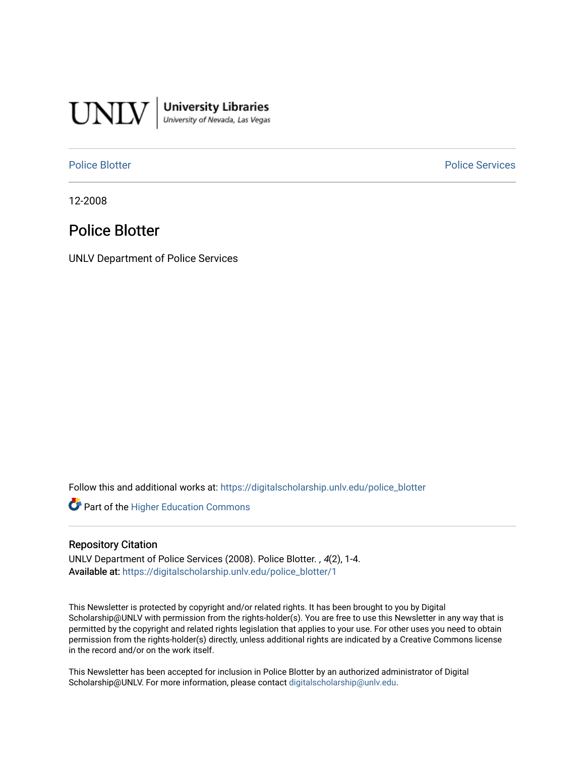

University Libraries<br>University of Nevada, Las Vegas

[Police Blotter](https://digitalscholarship.unlv.edu/police_blotter) **Police Services Police Services** 

12-2008

# Police Blotter

UNLV Department of Police Services

Follow this and additional works at: [https://digitalscholarship.unlv.edu/police\\_blotter](https://digitalscholarship.unlv.edu/police_blotter?utm_source=digitalscholarship.unlv.edu%2Fpolice_blotter%2F1&utm_medium=PDF&utm_campaign=PDFCoverPages) 

**Part of the Higher Education Commons** 

## Repository Citation

UNLV Department of Police Services (2008). Police Blotter. , 4(2), 1-4. Available at: [https://digitalscholarship.unlv.edu/police\\_blotter/1](https://digitalscholarship.unlv.edu/police_blotter/1) 

This Newsletter is protected by copyright and/or related rights. It has been brought to you by Digital Scholarship@UNLV with permission from the rights-holder(s). You are free to use this Newsletter in any way that is permitted by the copyright and related rights legislation that applies to your use. For other uses you need to obtain permission from the rights-holder(s) directly, unless additional rights are indicated by a Creative Commons license in the record and/or on the work itself.

This Newsletter has been accepted for inclusion in Police Blotter by an authorized administrator of Digital Scholarship@UNLV. For more information, please contact [digitalscholarship@unlv.edu.](mailto:digitalscholarship@unlv.edu)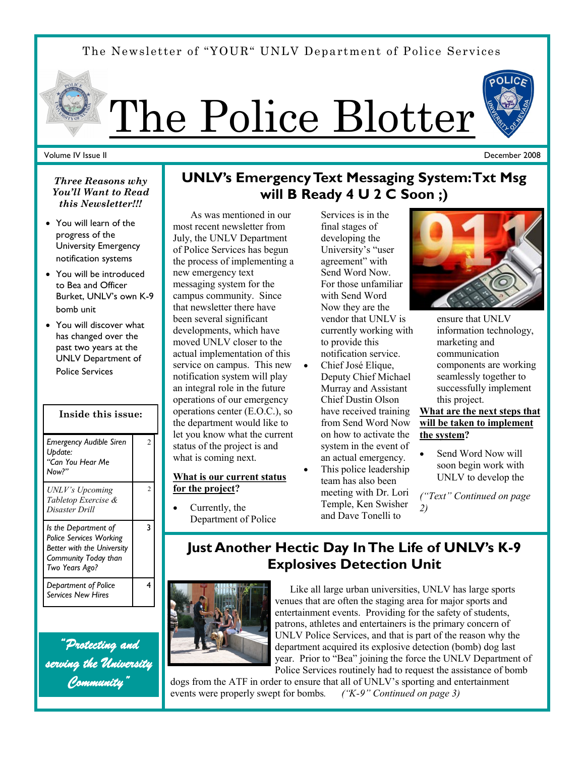The Newsletter of "YOUR" UNLV Department of Police Services



## Volume IV Issue II

*Three Reasons why You'll Want to Read this Newsletter!!!*

- You will learn of the progress of the University Emergency notification systems
- You will be introduced to Bea and Officer Burket, UNLV's own K-9 bomb unit
- You will discover what has changed over the past two years at the UNLV Department of Police Services

| Inside this issue:                                                                                                             |                |
|--------------------------------------------------------------------------------------------------------------------------------|----------------|
| Emergency Audible Siren<br>Update:<br>"Can You Hear Me<br>Now?"                                                                | $\mathfrak{D}$ |
| UNLV's Upcoming<br>Tabletop Exercise &<br>Disaster Drill                                                                       | $\mathfrak{D}$ |
| Is the Department of<br><b>Police Services Working</b><br>Better with the University<br>Community Today than<br>Two Years Ago? | 3              |
| Department of Police<br><b>Services New Hires</b>                                                                              | 4              |

*"Protecting and serving the University Community"* 

# **UNLV's Emergency Text Messaging System: Txt Msg will B Ready 4 U 2 C Soon ;)**

 As was mentioned in our most recent newsletter from July, the UNLV Department of Police Services has begun the process of implementing a new emergency text messaging system for the campus community. Since that newsletter there have been several significant developments, which have moved UNLV closer to the actual implementation of this service on campus. This new notification system will play an integral role in the future operations of our emergency operations center (E.O.C.), so the department would like to let you know what the current status of the project is and what is coming next.

## **What is our current status for the project?**

 Currently, the Department of Police

Services is in the final stages of developing the University's "user agreement" with Send Word Now. For those unfamiliar with Send Word Now they are the vendor that UNLV is currently working with to provide this notification service.

- Chief José Elique, Deputy Chief Michael Murray and Assistant Chief Dustin Olson have received training from Send Word Now on how to activate the system in the event of an actual emergency.
- This police leadership team has also been meeting with Dr. Lori Temple, Ken Swisher and Dave Tonelli to



ensure that UNLV information technology, marketing and communication components are working seamlessly together to successfully implement this project.

**What are the next steps that will be taken to implement the system?**

 Send Word Now will soon begin work with UNLV to develop the

*("Text" Continued on page 2)*

# **Just Another Hectic Day In The Life of UNLV's K-9 Explosives Detection Unit**



 Like all large urban universities, UNLV has large sports venues that are often the staging area for major sports and entertainment events. Providing for the safety of students, patrons, athletes and entertainers is the primary concern of UNLV Police Services, and that is part of the reason why the department acquired its explosive detection (bomb) dog last year. Prior to "Bea" joining the force the UNLV Department of Police Services routinely had to request the assistance of bomb

dogs from the ATF in order to ensure that all of UNLV's sporting and entertainment events were properly swept for bombs*. ("K-9" Continued on page 3)* 

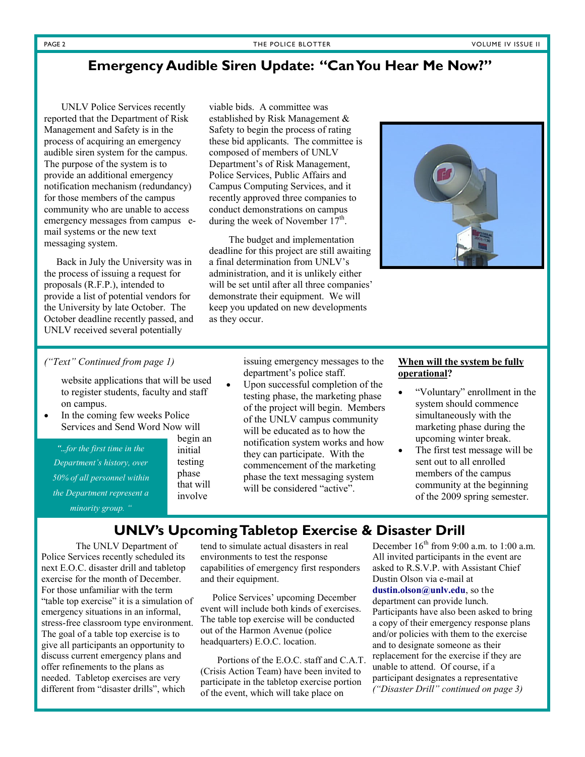## **Emergency Audible Siren Update: "Can You Hear Me Now?"**

 UNLV Police Services recently reported that the Department of Risk Management and Safety is in the process of acquiring an emergency audible siren system for the campus. The purpose of the system is to provide an additional emergency notification mechanism (redundancy) for those members of the campus community who are unable to access emergency messages from campus email systems or the new text messaging system.

 Back in July the University was in the process of issuing a request for proposals (R.F.P.), intended to provide a list of potential vendors for the University by late October. The October deadline recently passed, and UNLV received several potentially

viable bids. A committee was established by Risk Management & Safety to begin the process of rating these bid applicants. The committee is composed of members of UNLV Department's of Risk Management, Police Services, Public Affairs and Campus Computing Services, and it recently approved three companies to conduct demonstrations on campus during the week of November  $17<sup>th</sup>$ .

 The budget and implementation deadline for this project are still awaiting a final determination from UNLV's administration, and it is unlikely either will be set until after all three companies' demonstrate their equipment. We will keep you updated on new developments as they occur.



## *("Text" Continued from page 1)*

website applications that will be used to register students, faculty and staff on campus.

 In the coming few weeks Police Services and Send Word Now will

*"...for the first time in the Department's history, over 50% of all personnel within the Department represent a minority group. "*

begin an initial testing phase

that will involve

issuing emergency messages to the department's police staff.

 Upon successful completion of the testing phase, the marketing phase of the project will begin. Members of the UNLV campus community will be educated as to how the notification system works and how they can participate. With the commencement of the marketing phase the text messaging system will be considered "active".

## **When will the system be fully operational?**

- "Voluntary" enrollment in the system should commence simultaneously with the marketing phase during the upcoming winter break.
- The first test message will be sent out to all enrolled members of the campus community at the beginning of the 2009 spring semester.

## **UNLV's Upcoming Tabletop Exercise & Disaster Drill**

 The UNLV Department of Police Services recently scheduled its next E.O.C. disaster drill and tabletop exercise for the month of December. For those unfamiliar with the term "table top exercise" it is a simulation of emergency situations in an informal, stress-free classroom type environment. The goal of a table top exercise is to give all participants an opportunity to discuss current emergency plans and offer refinements to the plans as needed. Tabletop exercises are very different from "disaster drills", which

tend to simulate actual disasters in real environments to test the response capabilities of emergency first responders and their equipment.

 Police Services' upcoming December event will include both kinds of exercises. The table top exercise will be conducted out of the Harmon Avenue (police headquarters) E.O.C. location.

 Portions of the E.O.C. staff and C.A.T. (Crisis Action Team) have been invited to participate in the tabletop exercise portion of the event, which will take place on

December  $16<sup>th</sup>$  from 9:00 a.m. to 1:00 a.m. All invited participants in the event are asked to R.S.V.P. with Assistant Chief Dustin Olson via e-mail at **dustin.olson@unlv.edu**, so the department can provide lunch. Participants have also been asked to bring a copy of their emergency response plans and/or policies with them to the exercise and to designate someone as their replacement for the exercise if they are unable to attend. Of course, if a participant designates a representative *("Disaster Drill" continued on page 3)*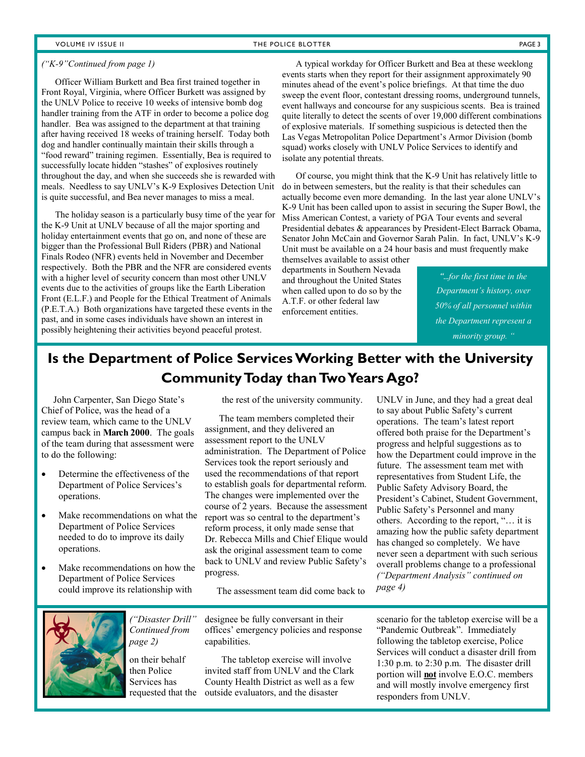## VOLUME IV ISSUE II THE POLICE BLOTTER THE POLICE BLOTTER PAGE 3

### *("K-9"Continued from page 1)*

 Officer William Burkett and Bea first trained together in Front Royal, Virginia, where Officer Burkett was assigned by the UNLV Police to receive 10 weeks of intensive bomb dog handler training from the ATF in order to become a police dog handler. Bea was assigned to the department at that training after having received 18 weeks of training herself. Today both dog and handler continually maintain their skills through a "food reward" training regimen. Essentially, Bea is required to successfully locate hidden "stashes" of explosives routinely throughout the day, and when she succeeds she is rewarded with meals. Needless to say UNLV's K-9 Explosives Detection Unit is quite successful, and Bea never manages to miss a meal.

 The holiday season is a particularly busy time of the year for the K-9 Unit at UNLV because of all the major sporting and holiday entertainment events that go on, and none of these are bigger than the Professional Bull Riders (PBR) and National Finals Rodeo (NFR) events held in November and December respectively. Both the PBR and the NFR are considered events with a higher level of security concern than most other UNLV events due to the activities of groups like the Earth Liberation Front (E.L.F.) and People for the Ethical Treatment of Animals (P.E.T.A.) Both organizations have targeted these events in the past, and in some cases individuals have shown an interest in possibly heightening their activities beyond peaceful protest.

 A typical workday for Officer Burkett and Bea at these weeklong events starts when they report for their assignment approximately 90 minutes ahead of the event's police briefings. At that time the duo sweep the event floor, contestant dressing rooms, underground tunnels, event hallways and concourse for any suspicious scents. Bea is trained quite literally to detect the scents of over 19,000 different combinations of explosive materials. If something suspicious is detected then the Las Vegas Metropolitan Police Department's Armor Division (bomb squad) works closely with UNLV Police Services to identify and isolate any potential threats.

 Of course, you might think that the K-9 Unit has relatively little to do in between semesters, but the reality is that their schedules can actually become even more demanding. In the last year alone UNLV's K-9 Unit has been called upon to assist in securing the Super Bowl, the Miss American Contest, a variety of PGA Tour events and several Presidential debates & appearances by President-Elect Barrack Obama, Senator John McCain and Governor Sarah Palin. In fact, UNLV's K-9 Unit must be available on a 24 hour basis and must frequently make

themselves available to assist other departments in Southern Nevada and throughout the United States when called upon to do so by the A.T.F. or other federal law enforcement entities.

*"...for the first time in the Department's history, over 50% of all personnel within the Department represent a minority group. "*

# **Is the Department of Police Services Working Better with the University Community Today than Two Years Ago?**

 John Carpenter, San Diego State's Chief of Police, was the head of a review team, which came to the UNLV campus back in **March 2000**. The goals of the team during that assessment were to do the following:

- Determine the effectiveness of the Department of Police Services's operations.
- Make recommendations on what the Department of Police Services needed to do to improve its daily operations.
- Make recommendations on how the Department of Police Services could improve its relationship with

*Continued from* 

on their behalf then Police Services has

*page 2)* 

the rest of the university community.

 The team members completed their assignment, and they delivered an assessment report to the UNLV administration. The Department of Police Services took the report seriously and used the recommendations of that report to establish goals for departmental reform. The changes were implemented over the course of 2 years. Because the assessment report was so central to the department's reform process, it only made sense that Dr. Rebecca Mills and Chief Elique would ask the original assessment team to come back to UNLV and review Public Safety's progress.

The assessment team did come back to

designee be fully conversant in their offices' emergency policies and response capabilities. *("Disaster Drill"* 

 The tabletop exercise will involve invited staff from UNLV and the Clark County Health District as well as a few requested that the outside evaluators, and the disaster

UNLV in June, and they had a great deal to say about Public Safety's current operations. The team's latest report offered both praise for the Department's progress and helpful suggestions as to how the Department could improve in the future. The assessment team met with representatives from Student Life, the Public Safety Advisory Board, the President's Cabinet, Student Government, Public Safety's Personnel and many others. According to the report, "… it is amazing how the public safety department has changed so completely. We have never seen a department with such serious overall problems change to a professional *("Department Analysis" continued on page 4)*

scenario for the tabletop exercise will be a "Pandemic Outbreak". Immediately following the tabletop exercise, Police Services will conduct a disaster drill from 1:30 p.m. to 2:30 p.m. The disaster drill portion will **not** involve E.O.C. members and will mostly involve emergency first responders from UNLV.